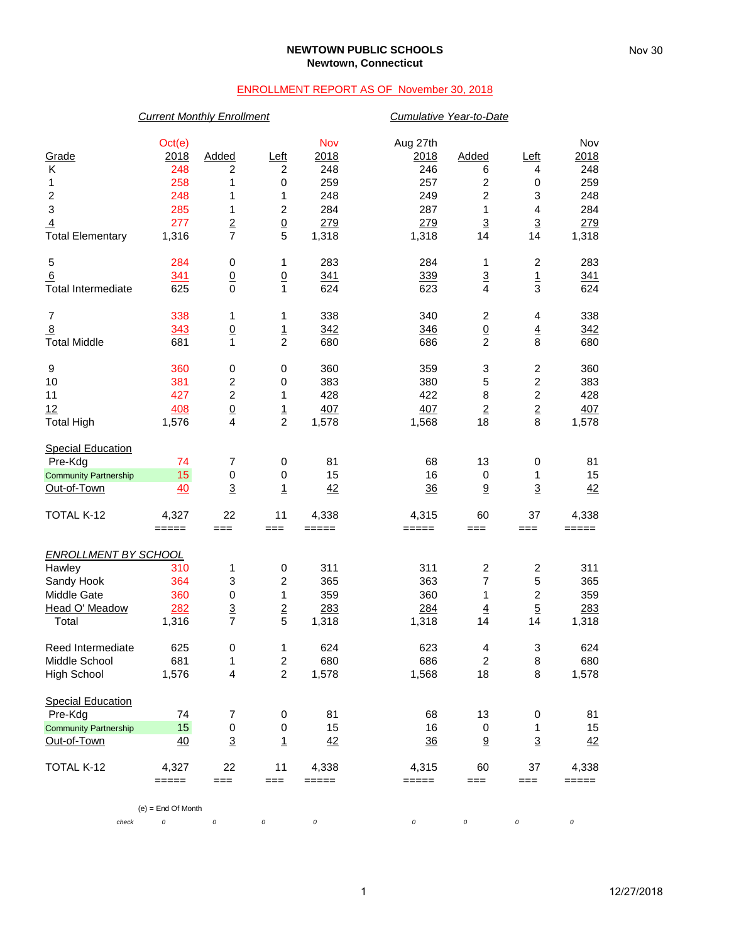### **NEWTOWN PUBLIC SCHOOLS Newtown, Connecticut**

## ENROLLMENT REPORT AS OF November 30, 2018

## *Current Monthly Enrollment Cumulative Year-to-Date*

| Grade                        | Oct(e)<br>2018 | Added                          | Left             | Nov<br>2018 | Aug 27th<br>2018 | Added                             | <u>Left</u>             | Nov<br>2018 |  |  |  |
|------------------------------|----------------|--------------------------------|------------------|-------------|------------------|-----------------------------------|-------------------------|-------------|--|--|--|
| Κ                            | 248            | 2                              | 2                | 248         | 246              | 6                                 | 4                       | 248         |  |  |  |
| 1                            | 258            | 1                              | $\,0\,$          | 259         | 257              | $\overline{\mathbf{c}}$           | 0                       | 259         |  |  |  |
| $\overline{\mathbf{c}}$      | 248            | 1                              | 1                | 248         | 249              | $\overline{\mathbf{c}}$           | 3                       | 248         |  |  |  |
| $\ensuremath{\mathsf{3}}$    | 285            | 1                              | $\boldsymbol{2}$ | 284         | 287              | 1                                 | 4                       | 284         |  |  |  |
| $\overline{4}$               | 277            | $\frac{2}{7}$                  | $\frac{0}{5}$    | 279         | 279              | $\overline{3}$                    | $\overline{3}$          | 279         |  |  |  |
| <b>Total Elementary</b>      | 1,316          |                                |                  | 1,318       | 1,318            | 14                                | 14                      | 1,318       |  |  |  |
| 5                            | 284            | 0                              | 1                | 283         | 284              | 1                                 | $\overline{\mathbf{c}}$ | 283         |  |  |  |
| 6                            | 341            | $\underline{0}$<br>$\mathbf 0$ | $\underline{0}$  | 341         | 339              | $\underline{3}$<br>$\overline{4}$ | $\overline{1}$<br>3     | 341         |  |  |  |
| <b>Total Intermediate</b>    | 625            |                                | 1                | 624         | 623              |                                   |                         | 624         |  |  |  |
| $\overline{7}$               | 338            | 1                              | 1                | 338         | 340              | $\overline{c}$                    | 4                       | 338         |  |  |  |
| $\overline{8}$               | 343            | $\underline{0}$                | $\overline{1}$   | 342         | 346              | $\underline{0}$                   | $\overline{4}$          | 342         |  |  |  |
| <b>Total Middle</b>          | 681            | 1                              | $\overline{c}$   | 680         | 686              | $\overline{2}$                    | 8                       | 680         |  |  |  |
| 9                            | 360            | 0                              | $\,0\,$          | 360         | 359              | 3                                 | $\overline{\mathbf{c}}$ | 360         |  |  |  |
| 10                           | 381            | 2                              | $\,0\,$          | 383         | 380              | $\mathbf 5$                       | $\overline{c}$          | 383         |  |  |  |
| 11                           | 427            | $\boldsymbol{2}$               | 1                | 428         | 422              | 8                                 | $\overline{\mathbf{c}}$ | 428         |  |  |  |
| 12                           | 408            | $\overline{0}$                 | $\frac{1}{2}$    | 407         | 407              | $\overline{2}$                    | $\overline{2}$          | 407         |  |  |  |
| <b>Total High</b>            | 1,576          | 4                              |                  | 1,578       | 1,568            | 18                                | 8                       | 1,578       |  |  |  |
| <b>Special Education</b>     |                |                                |                  |             |                  |                                   |                         |             |  |  |  |
| Pre-Kdg                      | 74             | 7                              | $\,0\,$          | 81          | 68               | 13                                | 0                       | 81          |  |  |  |
| <b>Community Partnership</b> | 15             | $\pmb{0}$                      | $\,0\,$          | 15          | 16               | 0                                 | 1                       | 15          |  |  |  |
| Out-of-Town                  | 40             | $\overline{3}$                 | 1                | 42          | 36               | 9                                 | $\overline{3}$          | 42          |  |  |  |
| TOTAL K-12                   | 4,327          | 22                             | 11               | 4,338       | 4,315            | 60                                | 37                      | 4,338       |  |  |  |
|                              | $=====$        | $==$                           | ===              | =====       | =====            | $==$                              | ===                     | =====       |  |  |  |
| <b>ENROLLMENT BY SCHOOL</b>  |                |                                |                  |             |                  |                                   |                         |             |  |  |  |
| Hawley                       | 310            | 1                              | $\,0\,$          | 311         | 311              | $\overline{\mathbf{c}}$           | $\overline{\mathbf{c}}$ | 311         |  |  |  |
| Sandy Hook                   | 364            | 3                              | 2                | 365         | 363              | $\overline{7}$                    | 5                       | 365         |  |  |  |
| Middle Gate                  | 360            | $\pmb{0}$                      | 1                | 359         | 360              | 1                                 | $\overline{\mathbf{c}}$ | 359         |  |  |  |
| Head O' Meadow               | 282            | $\overline{3}$                 | $\overline{2}$   | 283         | 284              | $\overline{4}$                    | $\overline{5}$          | 283         |  |  |  |
| Total                        | 1,316          | $\overline{7}$                 | 5                | 1,318       | 1,318            | 14                                | 14                      | 1,318       |  |  |  |
| Reed Intermediate            | 625            | 0                              | 1                | 624         | 623              | 4                                 | 3                       | 624         |  |  |  |
| Middle School                | 681            | 1                              | $\overline{2}$   | 680         | 686              | $\overline{2}$                    | 8                       | 680         |  |  |  |
| <b>High School</b>           | 1,576          | 4                              | $\boldsymbol{2}$ | 1,578       | 1,568            | 18                                | 8                       | 1,578       |  |  |  |
| <b>Special Education</b>     |                |                                |                  |             |                  |                                   |                         |             |  |  |  |
| Pre-Kdg                      | 74             | 7                              | 0                | 81          | 68               | 13                                | 0                       | 81          |  |  |  |
| <b>Community Partnership</b> | 15             | $\pmb{0}$                      | 0                | 15          | 16               | 0                                 | 1                       | 15          |  |  |  |
| Out-of-Town                  | 40             | $\overline{3}$                 | $\mathbf{1}$     | 42          | 36               | 9                                 | $\overline{3}$          | 42          |  |  |  |
| TOTAL K-12                   | 4,327          | 22                             | 11               | 4,338       | 4,315            | 60                                | 37                      | 4,338       |  |  |  |
|                              | $=====$        | $==$                           | ===              | =====       | =====            | $==$                              | ===                     | =====       |  |  |  |
| $(e) =$ End Of Month         |                |                                |                  |             |                  |                                   |                         |             |  |  |  |
| check                        | 0              | 0                              | 0                | 0           | 0                | 0                                 | 0                       | 0           |  |  |  |